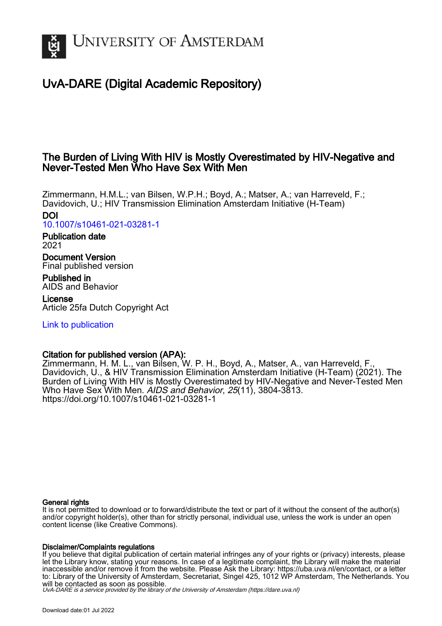

# UvA-DARE (Digital Academic Repository)

## The Burden of Living With HIV is Mostly Overestimated by HIV-Negative and Never-Tested Men Who Have Sex With Men

Zimmermann, H.M.L.; van Bilsen, W.P.H.; Boyd, A.; Matser, A.; van Harreveld, F.; Davidovich, U.; HIV Transmission Elimination Amsterdam Initiative (H-Team) DOI

[10.1007/s10461-021-03281-1](https://doi.org/10.1007/s10461-021-03281-1)

Publication date 2021

Document Version Final published version

Published in AIDS and Behavior

License Article 25fa Dutch Copyright Act

[Link to publication](https://dare.uva.nl/personal/pure/en/publications/the-burden-of-living-with-hiv-is-mostly-overestimated-by-hivnegative-and-nevertested-men-who-have-sex-with-men(96f0c1b2-f908-4f16-90ba-d8c7a895a4a2).html)

## Citation for published version (APA):

Zimmermann, H. M. L., van Bilsen, W. P. H., Boyd, A., Matser, A., van Harreveld, F., Davidovich, U., & HIV Transmission Elimination Amsterdam Initiative (H-Team) (2021). The Burden of Living With HIV is Mostly Overestimated by HIV-Negative and Never-Tested Men Who Have Sex With Men. AIDS and Behavior, 25(11), 3804-3813. <https://doi.org/10.1007/s10461-021-03281-1>

## General rights

It is not permitted to download or to forward/distribute the text or part of it without the consent of the author(s) and/or copyright holder(s), other than for strictly personal, individual use, unless the work is under an open content license (like Creative Commons).

## Disclaimer/Complaints regulations

If you believe that digital publication of certain material infringes any of your rights or (privacy) interests, please let the Library know, stating your reasons. In case of a legitimate complaint, the Library will make the material inaccessible and/or remove it from the website. Please Ask the Library: https://uba.uva.nl/en/contact, or a letter to: Library of the University of Amsterdam, Secretariat, Singel 425, 1012 WP Amsterdam, The Netherlands. You will be contacted as soon as possible.

UvA-DARE is a service provided by the library of the University of Amsterdam (http*s*://dare.uva.nl)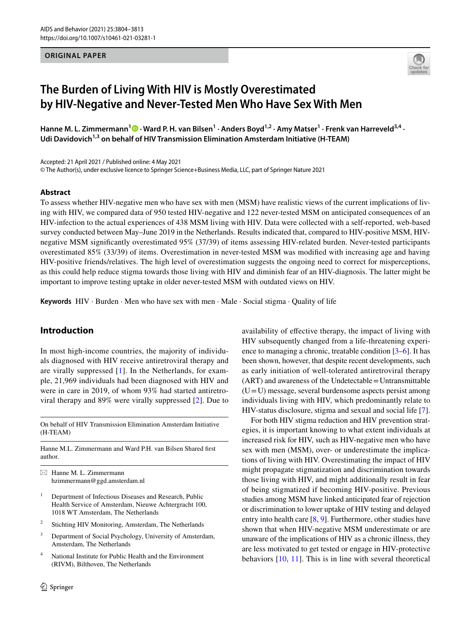#### **ORIGINAL PAPER**



## **The Burden of Living With HIV is Mostly Overestimated by HIV‑Negative and Never‑Tested Men Who Have Sex With Men**

HanneM. L. Zimmermann<sup>1</sup> <sup>D</sup> · Ward P. H. van Bilsen<sup>1</sup> · Anders Boyd<sup>1,2</sup> · Amy Matser<sup>1</sup> · Frenk van Harreveld<sup>3,4</sup> · Udi Davidovich<sup>1,3</sup> on behalf of HIV Transmission Elimination Amsterdam Initiative (H-TEAM)

Accepted: 21 April 2021 / Published online: 4 May 2021 © The Author(s), under exclusive licence to Springer Science+Business Media, LLC, part of Springer Nature 2021

#### **Abstract**

To assess whether HIV-negative men who have sex with men (MSM) have realistic views of the current implications of living with HIV, we compared data of 950 tested HIV-negative and 122 never-tested MSM on anticipated consequences of an HIV-infection to the actual experiences of 438 MSM living with HIV. Data were collected with a self-reported, web-based survey conducted between May–June 2019 in the Netherlands. Results indicated that, compared to HIV-positive MSM, HIVnegative MSM signifcantly overestimated 95% (37/39) of items assessing HIV-related burden. Never-tested participants overestimated 85% (33/39) of items. Overestimation in never-tested MSM was modifed with increasing age and having HIV-positive friends/relatives. The high level of overestimation suggests the ongoing need to correct for misperceptions, as this could help reduce stigma towards those living with HIV and diminish fear of an HIV-diagnosis. The latter might be important to improve testing uptake in older never-tested MSM with outdated views on HIV.

**Keywords** HIV · Burden · Men who have sex with men · Male · Social stigma · Quality of life

## **Introduction**

In most high-income countries, the majority of individuals diagnosed with HIV receive antiretroviral therapy and are virally suppressed [[1](#page-9-0)]. In the Netherlands, for example, 21,969 individuals had been diagnosed with HIV and were in care in 2019, of whom 93% had started antiretroviral therapy and 89% were virally suppressed [\[2\]](#page-9-1). Due to

On behalf of HIV Transmission Elimination Amsterdam Initiative (H-TEAM)

Hanne M.L. Zimmermann and Ward P.H. van Bilsen Shared frst author.

 $\boxtimes$  Hanne M. L. Zimmermann hzimmermann@ggd.amsterdam.nl

- <sup>1</sup> Department of Infectious Diseases and Research, Public Health Service of Amsterdam, Nieuwe Achtergracht 100, 1018 WT Amsterdam, The Netherlands
- <sup>2</sup> Stichting HIV Monitoring, Amsterdam, The Netherlands
- <sup>3</sup> Department of Social Psychology, University of Amsterdam, Amsterdam, The Netherlands
- <sup>4</sup> National Institute for Public Health and the Environment (RIVM), Bilthoven, The Netherlands

availability of efective therapy, the impact of living with HIV subsequently changed from a life-threatening experience to managing a chronic, treatable condition [[3–](#page-9-2)[6\]](#page-9-3). It has been shown, however, that despite recent developments, such as early initiation of well-tolerated antiretroviral therapy (ART) and awareness of the Undetectable=Untransmittable  $(U=U)$  message, several burdensome aspects persist among individuals living with HIV, which predominantly relate to HIV-status disclosure, stigma and sexual and social life [\[7](#page-9-4)].

For both HIV stigma reduction and HIV prevention strategies, it is important knowing to what extent individuals at increased risk for HIV, such as HIV-negative men who have sex with men (MSM), over- or underestimate the implications of living with HIV. Overestimating the impact of HIV might propagate stigmatization and discrimination towards those living with HIV, and might additionally result in fear of being stigmatized if becoming HIV-positive. Previous studies among MSM have linked anticipated fear of rejection or discrimination to lower uptake of HIV testing and delayed entry into health care [[8,](#page-9-5) [9](#page-9-6)]. Furthermore, other studies have shown that when HIV-negative MSM underestimate or are unaware of the implications of HIV as a chronic illness, they are less motivated to get tested or engage in HIV-protective behaviors [\[10,](#page-10-0) [11](#page-10-1)]. This is in line with several theoretical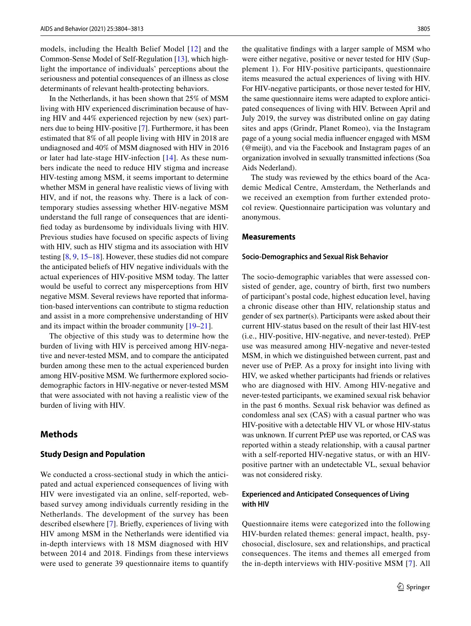models, including the Health Belief Model [[12](#page-10-2)] and the Common-Sense Model of Self-Regulation [[13\]](#page-10-3), which highlight the importance of individuals' perceptions about the seriousness and potential consequences of an illness as close determinants of relevant health-protecting behaviors.

In the Netherlands, it has been shown that 25% of MSM living with HIV experienced discrimination because of having HIV and 44% experienced rejection by new (sex) partners due to being HIV-positive [[7\]](#page-9-4). Furthermore, it has been estimated that 8% of all people living with HIV in 2018 are undiagnosed and 40% of MSM diagnosed with HIV in 2016 or later had late-stage HIV-infection [[14](#page-10-4)]. As these numbers indicate the need to reduce HIV stigma and increase HIV-testing among MSM, it seems important to determine whether MSM in general have realistic views of living with HIV, and if not, the reasons why. There is a lack of contemporary studies assessing whether HIV-negative MSM understand the full range of consequences that are identifed today as burdensome by individuals living with HIV. Previous studies have focused on specifc aspects of living with HIV, such as HIV stigma and its association with HIV testing [[8,](#page-9-5) [9](#page-9-6), [15](#page-10-5)[–18](#page-10-6)]. However, these studies did not compare the anticipated beliefs of HIV negative individuals with the actual experiences of HIV-positive MSM today. The latter would be useful to correct any misperceptions from HIV negative MSM. Several reviews have reported that information-based interventions can contribute to stigma reduction and assist in a more comprehensive understanding of HIV and its impact within the broader community [\[19](#page-10-7)[–21\]](#page-10-8).

The objective of this study was to determine how the burden of living with HIV is perceived among HIV-negative and never-tested MSM, and to compare the anticipated burden among these men to the actual experienced burden among HIV-positive MSM. We furthermore explored sociodemographic factors in HIV-negative or never-tested MSM that were associated with not having a realistic view of the burden of living with HIV.

## **Methods**

#### **Study Design and Population**

We conducted a cross-sectional study in which the anticipated and actual experienced consequences of living with HIV were investigated via an online, self-reported, webbased survey among individuals currently residing in the Netherlands. The development of the survey has been described elsewhere [\[7](#page-9-4)]. Briefy, experiences of living with HIV among MSM in the Netherlands were identifed via in-depth interviews with 18 MSM diagnosed with HIV between 2014 and 2018. Findings from these interviews were used to generate 39 questionnaire items to quantify the qualitative fndings with a larger sample of MSM who were either negative, positive or never tested for HIV (Supplement 1). For HIV-positive participants, questionnaire items measured the actual experiences of living with HIV. For HIV-negative participants, or those never tested for HIV, the same questionnaire items were adapted to explore anticipated consequences of living with HIV. Between April and July 2019, the survey was distributed online on gay dating sites and apps (Grindr, Planet Romeo), via the Instagram page of a young social media infuencer engaged with MSM (@meijt), and via the Facebook and Instagram pages of an organization involved in sexually transmitted infections (Soa Aids Nederland).

The study was reviewed by the ethics board of the Academic Medical Centre, Amsterdam, the Netherlands and we received an exemption from further extended protocol review. Questionnaire participation was voluntary and anonymous.

#### **Measurements**

#### **Socio‑Demographics and Sexual Risk Behavior**

The socio-demographic variables that were assessed consisted of gender, age, country of birth, frst two numbers of participant's postal code, highest education level, having a chronic disease other than HIV, relationship status and gender of sex partner(s). Participants were asked about their current HIV-status based on the result of their last HIV-test (i.e., HIV-positive, HIV-negative, and never-tested). PrEP use was measured among HIV-negative and never-tested MSM, in which we distinguished between current, past and never use of PrEP. As a proxy for insight into living with HIV, we asked whether participants had friends or relatives who are diagnosed with HIV. Among HIV-negative and never-tested participants, we examined sexual risk behavior in the past 6 months. Sexual risk behavior was defned as condomless anal sex (CAS) with a casual partner who was HIV-positive with a detectable HIV VL or whose HIV-status was unknown. If current PrEP use was reported, or CAS was reported within a steady relationship, with a causal partner with a self-reported HIV-negative status, or with an HIVpositive partner with an undetectable VL, sexual behavior was not considered risky.

### **Experienced and Anticipated Consequences of Living with HIV**

Questionnaire items were categorized into the following HIV-burden related themes: general impact, health, psychosocial, disclosure, sex and relationships, and practical consequences. The items and themes all emerged from the in-depth interviews with HIV-positive MSM [[7\]](#page-9-4). All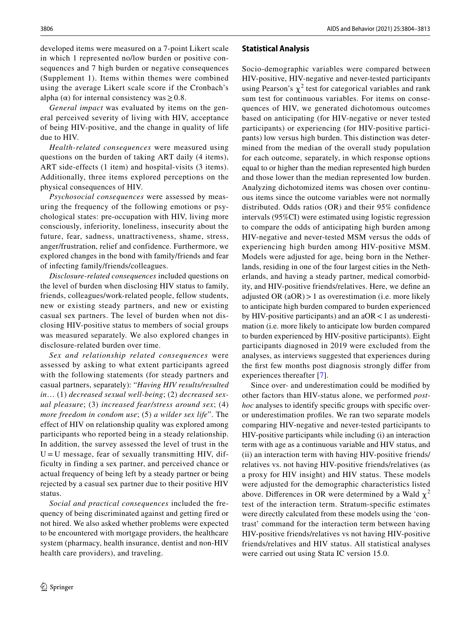developed items were measured on a 7-point Likert scale in which 1 represented no/low burden or positive consequences and 7 high burden or negative consequences (Supplement 1). Items within themes were combined using the average Likert scale score if the Cronbach's alpha ( $\alpha$ ) for internal consistency was  $\geq 0.8$ .

*General impact* was evaluated by items on the general perceived severity of living with HIV, acceptance of being HIV-positive, and the change in quality of life due to HIV.

*Health-related consequences* were measured using questions on the burden of taking ART daily (4 items), ART side-effects (1 item) and hospital-visits (3 items). Additionally, three items explored perceptions on the physical consequences of HIV.

*Psychosocial consequences* were assessed by measuring the frequency of the following emotions or psychological states: pre-occupation with HIV, living more consciously, inferiority, loneliness, insecurity about the future, fear, sadness, unattractiveness, shame, stress, anger/frustration, relief and confidence. Furthermore, we explored changes in the bond with family/friends and fear of infecting family/friends/colleagues.

*Disclosure-related consequences* included questions on the level of burden when disclosing HIV status to family, friends, colleagues/work-related people, fellow students, new or existing steady partners, and new or existing casual sex partners. The level of burden when not disclosing HIV-positive status to members of social groups was measured separately. We also explored changes in disclosure-related burden over time.

*Sex and relationship related consequences* were assessed by asking to what extent participants agreed with the following statements (for steady partners and casual partners, separately): "*Having HIV results/resulted in*… (1) *decreased sexual well-being*; (2) *decreased sexual pleasure*; (3) *increased fear/stress around sex*; (4) *more freedom in condom use*; (5) *a wilder sex life*". The effect of HIV on relationship quality was explored among participants who reported being in a steady relationship. In addition, the survey assessed the level of trust in the  $U = U$  message, fear of sexually transmitting HIV, difficulty in finding a sex partner, and perceived chance or actual frequency of being left by a steady partner or being rejected by a casual sex partner due to their positive HIV status.

*Social and practical consequences* included the frequency of being discriminated against and getting fired or not hired. We also asked whether problems were expected to be encountered with mortgage providers, the healthcare system (pharmacy, health insurance, dentist and non-HIV health care providers), and traveling.

#### **Statistical Analysis**

Socio-demographic variables were compared between HIV-positive, HIV-negative and never-tested participants using Pearson's  $\chi^2$  test for categorical variables and rank sum test for continuous variables. For items on consequences of HIV, we generated dichotomous outcomes based on anticipating (for HIV-negative or never tested participants) or experiencing (for HIV-positive participants) low versus high burden. This distinction was determined from the median of the overall study population for each outcome, separately, in which response options equal to or higher than the median represented high burden and those lower than the median represented low burden. Analyzing dichotomized items was chosen over continuous items since the outcome variables were not normally distributed. Odds ratios (OR) and their 95% confdence intervals (95%CI) were estimated using logistic regression to compare the odds of anticipating high burden among HIV-negative and never-tested MSM versus the odds of experiencing high burden among HIV-positive MSM. Models were adjusted for age, being born in the Netherlands, residing in one of the four largest cities in the Netherlands, and having a steady partner, medical comorbidity, and HIV-positive friends/relatives. Here, we defne an adjusted OR  $(aOR) > 1$  as overestimation (i.e. more likely to anticipate high burden compared to burden experienced by HIV-positive participants) and an  $aOR < 1$  as underestimation (i.e. more likely to anticipate low burden compared to burden experienced by HIV-positive participants). Eight participants diagnosed in 2019 were excluded from the analyses, as interviews suggested that experiences during the frst few months post diagnosis strongly difer from experiences thereafter [\[7\]](#page-9-4).

Since over- and underestimation could be modifed by other factors than HIV-status alone, we performed *posthoc* analyses to identify specifc groups with specifc overor underestimation profles. We ran two separate models comparing HIV-negative and never-tested participants to HIV-positive participants while including (i) an interaction term with age as a continuous variable and HIV status, and (ii) an interaction term with having HIV-positive friends/ relatives vs. not having HIV-positive friends/relatives (as a proxy for HIV insight) and HIV status. These models were adjusted for the demographic characteristics listed above. Differences in OR were determined by a Wald  $\chi^2$ test of the interaction term. Stratum-specifc estimates were directly calculated from these models using the 'contrast' command for the interaction term between having HIV-positive friends/relatives vs not having HIV-positive friends/relatives and HIV status. All statistical analyses were carried out using Stata IC version 15.0.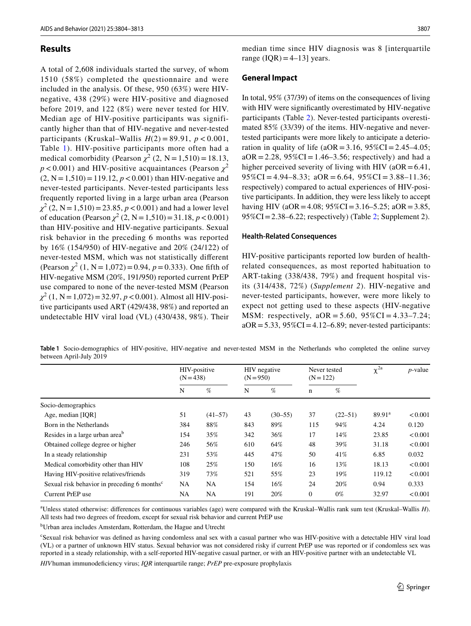## **Results**

A total of 2,608 individuals started the survey, of whom 1510 (58%) completed the questionnaire and were included in the analysis. Of these, 950 (63%) were HIVnegative, 438 (29%) were HIV-positive and diagnosed before 2019, and 122 (8%) were never tested for HIV. Median age of HIV-positive participants was significantly higher than that of HIV-negative and never-tested participants (Kruskal–Wallis  $H(2) = 89.91$ ,  $p < 0.001$ , Table [1\)](#page-4-0). HIV-positive participants more often had a medical comorbidity (Pearson  $\chi^2$  (2, N = 1,510) = 18.13,  $p < 0.001$ ) and HIV-positive acquaintances (Pearson  $\chi^2$  $(2, N = 1,510) = 119.12, p < 0.001$ ) than HIV-negative and never-tested participants. Never-tested participants less frequently reported living in a large urban area (Pearson  $\chi^2$  (2, N = 1,510) = 23.85, *p* < 0.001) and had a lower level of education (Pearson  $\chi^2$  (2, N = 1,510) = 31.18, *p* < 0.001) than HIV-positive and HIV-negative participants. Sexual risk behavior in the preceding 6 months was reported by 16% (154/950) of HIV-negative and 20% (24/122) of never-tested MSM, which was not statistically diferent  $(Pearson \chi^2 (1, N=1,072)=0.94, p=0.333)$ . One fifth of HIV-negative MSM (20%, 191/950) reported current PrEP use compared to none of the never-tested MSM (Pearson  $\chi^2$  (1, N = 1,072) = 32.97, *p* < 0.001). Almost all HIV-positive participants used ART (429/438, 98%) and reported an undetectable HIV viral load (VL) (430/438, 98%). Their

median time since HIV diagnosis was 8 [interquartile range  $(IQR) = 4-13$ ] years.

#### **General Impact**

In total, 95% (37/39) of items on the consequences of living with HIV were significantly overestimated by HIV-negative participants (Table [2\)](#page-5-0). Never-tested participants overestimated 85% (33/39) of the items. HIV-negative and nevertested participants were more likely to anticipate a deterioration in quality of life ( $aOR = 3.16$ ,  $95\%CI = 2.45-4.05$ ;  $aOR = 2.28$ ,  $95\%CI = 1.46 - 3.56$ ; respectively) and had a higher perceived severity of living with HIV ( $aOR = 6.41$ ,  $95\%CI = 4.94 - 8.33$ ;  $aOR = 6.64$ ,  $95\%CI = 3.88 - 11.36$ ; respectively) compared to actual experiences of HIV-positive participants. In addition, they were less likely to accept having HIV (aOR = 4.08; 95%CI = 3.16–5.25; aOR = 3.85,  $95\%CI = 2.38 - 6.22$ ; respectively) (Table [2;](#page-5-0) Supplement 2).

#### **Health‑Related Consequences**

HIV-positive participants reported low burden of healthrelated consequences, as most reported habituation to ART-taking (338/438, 79%) and frequent hospital visits (314/438, 72%) (*Supplement 2*). HIV-negative and never-tested participants, however, were more likely to expect not getting used to these aspects (HIV-negative MSM: respectively,  $aOR = 5.60$ ,  $95\%CI = 4.33 - 7.24$ ;  $aOR = 5.33$ ,  $95\%CI = 4.12-6.89$ ; never-tested participants:

<span id="page-4-0"></span>**Table 1** Socio-demographics of HIV-positive, HIV-negative and never-tested MSM in the Netherlands who completed the online survey between April-July 2019

|                                                         | HIV-positive<br>$(N = 438)$ |           | HIV negative<br>$(N = 950)$ |             | Never tested<br>$(N = 122)$ |             | $\chi^{2a}$ | $p$ -value |
|---------------------------------------------------------|-----------------------------|-----------|-----------------------------|-------------|-----------------------------|-------------|-------------|------------|
|                                                         | N                           | %         | N                           | $\%$        | $\mathbf n$                 | %           |             |            |
| Socio-demographics                                      |                             |           |                             |             |                             |             |             |            |
| Age, median [IOR]                                       | 51                          | $(41-57)$ | 43                          | $(30 - 55)$ | 37                          | $(22 - 51)$ | $89.91^a$   | < 0.001    |
| Born in the Netherlands                                 | 384                         | 88%       | 843                         | 89%         | 115                         | 94%         | 4.24        | 0.120      |
| Resides in a large urban area <sup>b</sup>              | 154                         | 35%       | 342                         | 36%         | 17                          | 14%         | 23.85       | < 0.001    |
| Obtained college degree or higher                       | 246                         | 56%       | 610                         | 64%         | 48                          | 39%         | 31.18       | < 0.001    |
| In a steady relationship                                | 231                         | 53%       | 445                         | 47%         | 50                          | 41%         | 6.85        | 0.032      |
| Medical comorbidity other than HIV                      | 108                         | 25%       | 150                         | 16%         | 16                          | 13%         | 18.13       | < 0.001    |
| Having HIV-positive relatives/friends                   | 319                         | 73%       | 521                         | 55%         | 23                          | 19%         | 119.12      | < 0.001    |
| Sexual risk behavior in preceding 6 months <sup>c</sup> | <b>NA</b>                   | <b>NA</b> | 154                         | 16%         | 24                          | 20%         | 0.94        | 0.333      |
| Current PrEP use                                        | NA                          | <b>NA</b> | 191                         | 20%         | $\theta$                    | $0\%$       | 32.97       | < 0.001    |

a Unless stated otherwise: diferences for continuous variables (age) were compared with the Kruskal–Wallis rank sum test (Kruskal–Wallis *H*). All tests had two degrees of freedom, except for sexual risk behavior and current PrEP use

b Urban area includes Amsterdam, Rotterdam, the Hague and Utrecht

c Sexual risk behavior was defned as having condomless anal sex with a casual partner who was HIV-positive with a detectable HIV viral load (VL) or a partner of unknown HIV status. Sexual behavior was not considered risky if current PrEP use was reported or if condomless sex was reported in a steady relationship, with a self-reported HIV-negative casual partner, or with an HIV-positive partner with an undetectable VL

*HIV*human immunodefciency virus; *IQR* interquartile range; *PrEP* pre-exposure prophylaxis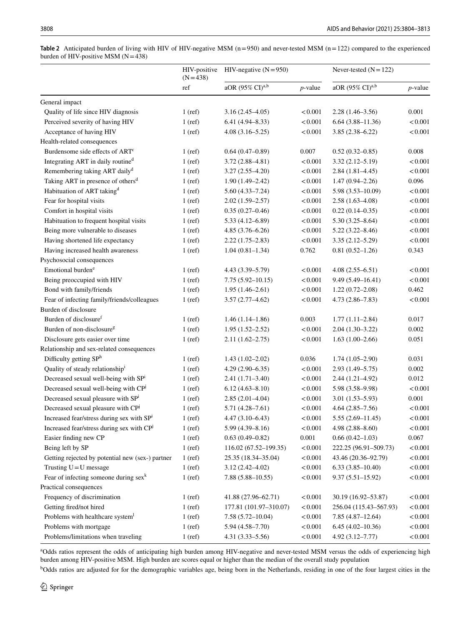<span id="page-5-0"></span>**Table 2** Anticipated burden of living with HIV of HIV-negative MSM (n=950) and never-tested MSM (n=122) compared to the experienced burden of HIV-positive MSM  $(N=438)$ 

|                                                                         | HIV-positive<br>$(N=438)$ | HIV-negative $(N=950)$      |            | Never-tested $(N = 122)$                      |            |  |
|-------------------------------------------------------------------------|---------------------------|-----------------------------|------------|-----------------------------------------------|------------|--|
|                                                                         | ref                       | aOR (95% CI) <sup>a,b</sup> | $p$ -value | aOR (95% CI) <sup>a,b</sup>                   | $p$ -value |  |
| General impact                                                          |                           |                             |            |                                               |            |  |
| Quality of life since HIV diagnosis                                     | $1$ (ref)                 | $3.16(2.45-4.05)$           | < 0.001    | $2.28(1.46-3.56)$                             | 0.001      |  |
| Perceived severity of having HIV                                        | $1$ (ref)                 | $6.41(4.94 - 8.33)$         | < 0.001    | $6.64(3.88 - 11.36)$                          | < 0.001    |  |
| Acceptance of having HIV                                                | $1$ (ref)                 | $4.08(3.16 - 5.25)$         | < 0.001    | $3.85(2.38 - 6.22)$                           | < 0.001    |  |
| Health-related consequences                                             |                           |                             |            |                                               |            |  |
| Burdensome side effects of ART <sup>c</sup>                             | $1$ (ref)                 | $0.64(0.47-0.89)$           | 0.007      | $0.52(0.32 - 0.85)$                           | 0.008      |  |
| Integrating ART in daily routined                                       | $1$ (ref)                 | $3.72(2.88 - 4.81)$         | < 0.001    | $3.32(2.12 - 5.19)$                           | < 0.001    |  |
| Remembering taking ART daily <sup>d</sup>                               | $1$ (ref)                 | $3.27(2.55 - 4.20)$         | < 0.001    | $2.84(1.81-4.45)$                             | < 0.001    |  |
| Taking ART in presence of others <sup>d</sup>                           | $1$ (ref)                 | $1.90(1.49 - 2.42)$         | < 0.001    | $1.47(0.94 - 2.26)$                           | 0.096      |  |
| Habituation of ART taking <sup>d</sup>                                  | $1$ (ref)                 | $5.60(4.33 - 7.24)$         | < 0.001    | $5.98(3.53 - 10.09)$                          | < 0.001    |  |
| Fear for hospital visits                                                | $1$ (ref)                 | $2.02(1.59-2.57)$           | < 0.001    | $2.58(1.63 - 4.08)$                           | < 0.001    |  |
| Comfort in hospital visits                                              | $1$ (ref)                 | $0.35(0.27-0.46)$           | < 0.001    | $0.22(0.14 - 0.35)$                           | < 0.001    |  |
| Habituation to frequent hospital visits                                 | $1$ (ref)                 | $5.33(4.12 - 6.89)$         | < 0.001    | $5.30(3.25 - 8.64)$                           | < 0.001    |  |
| Being more vulnerable to diseases                                       | $1$ (ref)                 | $4.85(3.76 - 6.26)$         | < 0.001    | $5.22(3.22 - 8.46)$                           | < 0.001    |  |
| Having shortened life expectancy                                        | $1$ (ref)                 | $2.22(1.75-2.83)$           | < 0.001    | $3.35(2.12 - 5.29)$                           | < 0.001    |  |
| Having increased health awareness                                       | $1$ (ref)                 | $1.04(0.81-1.34)$           | 0.762      | $0.81(0.52 - 1.26)$                           | 0.343      |  |
| Psychosocial consequences                                               |                           |                             |            |                                               |            |  |
| Emotional burden <sup>e</sup>                                           | $1$ (ref)                 | $4.43(3.39 - 5.79)$         | < 0.001    | $4.08(2.55-6.51)$                             | < 0.001    |  |
| Being preoccupied with HIV                                              | $1$ (ref)                 | $7.75(5.92 - 10.15)$        | < 0.001    | $9.49(5.49 - 16.41)$                          | < 0.001    |  |
| Bond with family/friends                                                | $1$ (ref)                 | $1.95(1.46-2.61)$           | < 0.001    | $1.22(0.72 - 2.08)$                           | 0.462      |  |
| Fear of infecting family/friends/colleagues                             | $1$ (ref)                 | $3.57(2.77 - 4.62)$         | < 0.001    | $4.73(2.86 - 7.83)$                           | < 0.001    |  |
| Burden of disclosure                                                    |                           |                             |            |                                               |            |  |
| Burden of disclosure <sup>f</sup>                                       | $1$ (ref)                 | $1.46(1.14-1.86)$           | 0.003      | $1.77(1.11-2.84)$                             | 0.017      |  |
| Burden of non-disclosure <sup>g</sup>                                   | $1$ (ref)                 | $1.95(1.52 - 2.52)$         | < 0.001    | $2.04(1.30-3.22)$                             | 0.002      |  |
| Disclosure gets easier over time                                        | $1$ (ref)                 | $2.11(1.62 - 2.75)$         | < 0.001    | $1.63(1.00-2.66)$                             | 0.051      |  |
| Relationship and sex-related consequences                               |                           |                             |            |                                               |            |  |
| Difficulty getting SPh                                                  | $1$ (ref)                 | $1.43(1.02 - 2.02)$         | 0.036      | $1.74(1.05-2.90)$                             | 0.031      |  |
| Quality of steady relationship <sup>i</sup>                             | $1$ (ref)                 | $4.29(2.90-6.35)$           | < 0.001    | $2.93(1.49 - 5.75)$                           | 0.002      |  |
| Decreased sexual well-being with SPi                                    | $1$ (ref)                 | $2.41(1.71 - 3.40)$         | < 0.001    | $2.44(1.21-4.92)$                             | 0.012      |  |
| Decreased sexual well-being with CPJ                                    | $1$ (ref)                 | $6.12(4.63 - 8.10)$         | < 0.001    | 5.98 (3.58-9.98)                              | < 0.001    |  |
| Decreased sexual pleasure with SPi                                      | $1$ (ref)                 | $2.85(2.01-4.04)$           | < 0.001    | $3.01(1.53 - 5.93)$                           | 0.001      |  |
| Decreased sexual pleasure with CP <sup>j</sup>                          | $1$ (ref)                 | $5.71(4.28 - 7.61)$         | < 0.001    | $4.64(2.85 - 7.56)$                           | < 0.001    |  |
| Increased fear/stress during sex with SPi                               | $1$ (ref)                 | $4.47(3.10-6.43)$           | < 0.001    | $5.55(2.69 - 11.45)$                          | < 0.001    |  |
| Increased fear/stress during sex with CPJ                               | $1$ (ref)                 | $5.99(4.39 - 8.16)$         | < 0.001    | $4.98(2.88 - 8.60)$                           | < 0.001    |  |
| Easier finding new CP                                                   | $1$ (ref)                 | $0.63(0.49-0.82)$           | 0.001      | $0.66(0.42 - 1.03)$                           | 0.067      |  |
| Being left by SP                                                        | $1$ (ref)                 | 116.02 (67.52-199.35)       | < 0.001    | 222.25 (96.91-509.73)                         | $<\!0.001$ |  |
| Getting rejected by potential new (sex-) partner                        | $1$ (ref)                 | 25.35 (18.34-35.04)         | < 0.001    | 43.46 (20.36-92.79)                           | < 0.001    |  |
| Trusting $U = U$ message                                                | $1$ (ref)                 | $3.12(2.42 - 4.02)$         | < 0.001    | $6.33(3.85 - 10.40)$                          | < 0.001    |  |
| Fear of infecting someone during $sexk$                                 | $1$ (ref)                 | $7.88(5.88 - 10.55)$        | < 0.001    | $9.37(5.51 - 15.92)$                          | < 0.001    |  |
| Practical consequences                                                  |                           |                             |            |                                               |            |  |
|                                                                         |                           |                             |            |                                               |            |  |
| Frequency of discrimination                                             | $1$ (ref)                 | 41.88 (27.96-62.71)         | < 0.001    | 30.19 (16.92-53.87)<br>256.04 (115.43-567.93) | < 0.001    |  |
| Getting fired/not hired<br>Problems with healthcare system <sup>1</sup> | $1$ (ref)                 | 177.81 (101.97-310.07)      | < 0.001    |                                               | < 0.001    |  |
| Problems with mortgage                                                  | $1$ (ref)                 | $7.58(5.72 - 10.04)$        | < 0.001    | $7.85(4.87-12.64)$                            | < 0.001    |  |
|                                                                         | $1$ (ref)                 | $5.94(4.58 - 7.70)$         | < 0.001    | $6.45(4.02 - 10.36)$                          | < 0.001    |  |
| Problems/limitations when traveling                                     | $1$ (ref)                 | $4.31(3.33 - 5.56)$         | < 0.001    | $4.92(3.12 - 7.77)$                           | < 0.001    |  |

<sup>a</sup>Odds ratios represent the odds of anticipating high burden among HIV-negative and never-tested MSM versus the odds of experiencing high burden among HIV-positive MSM. High burden are scores equal or higher than the median of the overall study population

<sup>b</sup>Odds ratios are adjusted for for the demographic variables age, being born in the Netherlands, residing in one of the four largest cities in the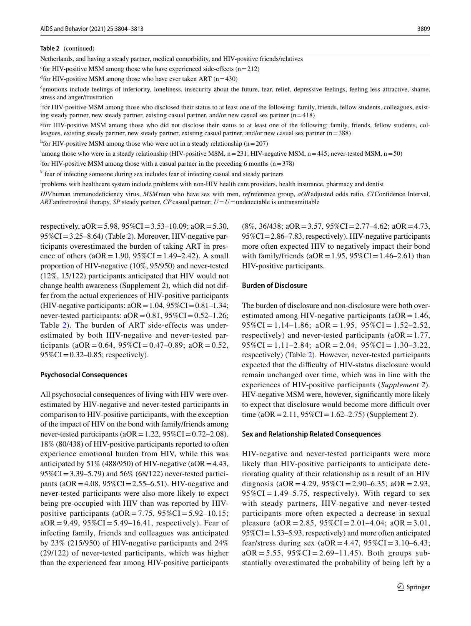#### **Table 2** (continued)

Netherlands, and having a steady partner, medical comorbidity, and HIV-positive friends/relatives

<sup>c</sup> for HIV-positive MSM among those who have experienced side-effects ( $n=212$ )

 $d$  for HIV-positive MSM among those who have ever taken ART (n=430)

emotions include feelings of inferiority, loneliness, insecurity about the future, fear, relief, depressive feelings, feeling less attractive, shame, stress and anger/frustration

<sup>f</sup>for HIV-positive MSM among those who disclosed their status to at least one of the following: family, friends, fellow students, colleagues, existing steady partner, new steady partner, existing casual partner, and/or new casual sex partner (n=418)

<sup>g</sup>for HIV-positive MSM among those who did not disclose their status to at least one of the following: family, friends, fellow students, colleagues, existing steady partner, new steady partner, existing casual partner, and/or new casual sex partner (n=388)

<sup>h</sup> for HIV-positive MSM among those who were not in a steady relationship ( $n=207$ )

<sup>i</sup>among those who were in a steady relationship (HIV-positive MSM,  $n=231$ ; HIV-negative MSM,  $n=445$ ; never-tested MSM,  $n=50$ )

<sup>j</sup> for HIV-positive MSM among those with a casual partner in the preceding 6 months ( $n=378$ )

k fear of infecting someone during sex includes fear of infecting casual and steady partners

l problems with healthcare system include problems with non-HIV health care providers, health insurance, pharmacy and dentist

*HIV*human immunodefciency virus, *MSM*men who have sex with men, *ref*reference group, *aOR*adjusted odds ratio, *CI*Confdence Interval, *ART*antiretroviral therapy, *SP* steady partner, *CP*casual partner; *U*=*U*=undetectable is untransmittable

respectively,  $aOR = 5.98$ ,  $95\%CI = 3.53-10.09$ ;  $aOR = 5.30$ ,  $95\%CI = 3.25-8.64$  (Table [2\)](#page-5-0). Moreover, HIV-negative participants overestimated the burden of taking ART in presence of others ( $aOR = 1.90$ ,  $95\%CI = 1.49 - 2.42$ ). A small proportion of HIV-negative (10%, 95/950) and never-tested (12%, 15/122) participants anticipated that HIV would not change health awareness (Supplement 2), which did not differ from the actual experiences of HIV-positive participants (HIV-negative participants:  $aOR = 1.04$ ,  $95\%CI = 0.81-1.34$ ; never-tested participants:  $aOR = 0.81$ ,  $95\%CI = 0.52-1.26$ ; Table [2](#page-5-0)). The burden of ART side-effects was underestimated by both HIV-negative and never-tested participants (aOR =  $0.64$ ,  $95\%$ CI =  $0.47 - 0.89$ ; aOR =  $0.52$ ,  $95\%CI = 0.32 - 0.85$ ; respectively).

#### **Psychosocial Consequences**

All psychosocial consequences of living with HIV were overestimated by HIV-negative and never-tested participants in comparison to HIV-positive participants, with the exception of the impact of HIV on the bond with family/friends among never-tested participants ( $aOR = 1.22$ ,  $95\%CI = 0.72-2.08$ ). 18% (80/438) of HIV-positive participants reported to often experience emotional burden from HIV, while this was anticipated by 51% (488/950) of HIV-negative (aOR = 4.43, 95%CI=3.39–5.79) and 56% (68/122) never-tested participants (aOR = 4.08,  $95\%$ CI = 2.55–6.51). HIV-negative and never-tested participants were also more likely to expect being pre-occupied with HIV than was reported by HIVpositive participants ( $aOR = 7.75$ ,  $95\%CI = 5.92-10.15$ ;  $aOR = 9.49$ ,  $95\%CI = 5.49 - 16.41$ , respectively). Fear of infecting family, friends and colleagues was anticipated by 23% (215/950) of HIV-negative participants and 24% (29/122) of never-tested participants, which was higher than the experienced fear among HIV-positive participants  $(8\%, 36/438; aOR = 3.57, 95\% CI = 2.77 - 4.62; aOR = 4.73,$ 95%CI=2.86–7.83, respectively). HIV-negative participants more often expected HIV to negatively impact their bond with family/friends ( $aOR = 1.95$ ,  $95\%CI = 1.46-2.61$ ) than HIV-positive participants.

### **Burden of Disclosure**

The burden of disclosure and non-disclosure were both overestimated among HIV-negative participants ( $aOR = 1.46$ ,  $95\%CI = 1.14 - 1.86$ ;  $aOR = 1.95$ ,  $95\%CI = 1.52 - 2.52$ , respectively) and never-tested participants ( $aOR = 1.77$ ,  $95\%CI = 1.11 - 2.84$ ;  $aOR = 2.04$ ,  $95\%CI = 1.30 - 3.22$ , respectively) (Table [2\)](#page-5-0). However, never-tested participants expected that the difficulty of HIV-status disclosure would remain unchanged over time, which was in line with the experiences of HIV-positive participants (*Supplement 2*). HIV-negative MSM were, however, signifcantly more likely to expect that disclosure would become more difficult over time (aOR = 2.11,  $95\%$ CI = 1.62–2.75) (Supplement 2).

#### **Sex and Relationship Related Consequences**

HIV-negative and never-tested participants were more likely than HIV-positive participants to anticipate deteriorating quality of their relationship as a result of an HIV diagnosis (aOR = 4.29,  $95\%$ CI = 2.90–6.35; aOR = 2.93,  $95\%CI = 1.49 - 5.75$ , respectively). With regard to sex with steady partners, HIV-negative and never-tested participants more often expected a decrease in sexual pleasure (aOR = 2.85,  $95\%$ CI = 2.01–4.04; aOR = 3.01, 95%CI=1.53–5.93, respectively) and more often anticipated fear/stress during sex ( $aOR = 4.47$ ,  $95\%CI = 3.10 - 6.43$ ;  $aOR = 5.55$ ,  $95\%CI = 2.69 - 11.45$ . Both groups substantially overestimated the probability of being left by a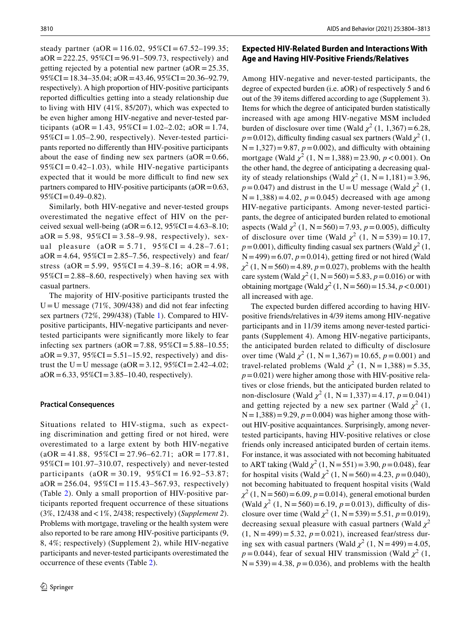steady partner (aOR = 116.02,  $95\%$ CI = 67.52–199.35;  $aOR = 222.25$ ,  $95\%CI = 96.91 - 509.73$ , respectively) and getting rejected by a potential new partner ( $aOR = 25.35$ , 95%CI=18.34–35.04; aOR=43.46, 95%CI=20.36–92.79, respectively). A high proportion of HIV-positive participants reported difficulties getting into a steady relationship due to living with HIV (41%, 85/207), which was expected to be even higher among HIV-negative and never-tested participants (aOR = 1.43,  $95\%$ CI = 1.02–2.02; aOR = 1.74,  $95\%CI = 1.05 - 2.90$ , respectively). Never-tested participants reported no diferently than HIV-positive participants about the ease of finding new sex partners ( $aOR = 0.66$ ,  $95\%CI = 0.42 - 1.03$ , while HIV-negative participants expected that it would be more difficult to find new sex partners compared to HIV-positive participants ( $aOR = 0.63$ ,  $95\%CI = 0.49 - 0.82$ .

Similarly, both HIV-negative and never-tested groups overestimated the negative effect of HIV on the perceived sexual well-being  $(aOR = 6.12, 95\% CI = 4.63-8.10;$  $aOR = 5.98$ ,  $95\%CI = 3.58 - 9.98$ , respectively), sexual pleasure  $(aOR = 5.71, 95\% CI = 4.28-7.61;$  $aOR = 4.64$ ,  $95\%CI = 2.85 - 7.56$ , respectively) and fear/ stress  $(aOR = 5.99, 95\%CI = 4.39-8.16; aOR = 4.98,$  $95\%CI = 2.88-8.60$ , respectively) when having sex with casual partners.

The majority of HIV-positive participants trusted the  $U = U$  message (71%, 309/438) and did not fear infecting sex partners (72%, 299/438) (Table [1\)](#page-4-0). Compared to HIVpositive participants, HIV-negative participants and nevertested participants were signifcantly more likely to fear infecting sex partners ( $aOR = 7.88$ ,  $95\%CI = 5.88 - 10.55$ ;  $aOR = 9.37$ ,  $95\%CI = 5.51 - 15.92$ , respectively) and distrust the U = U message (aOR = 3.12,  $95\%$ CI = 2.42–4.02;  $aOR = 6.33, 95\% CI = 3.85-10.40$ , respectively).

#### **Practical Consequences**

Situations related to HIV-stigma, such as expecting discrimination and getting fired or not hired, were overestimated to a large extent by both HIV-negative  $(aOR = 41.88, 95\% CI = 27.96 - 62.71; aOR = 177.81,$  $95\%CI = 101.97 - 310.07$ , respectively) and never-tested participants (aOR = 30.19, 95%CI = 16.92–53.87;  $aOR = 256.04$ ,  $95\%CI = 115.43 - 567.93$ , respectively) (Table [2\)](#page-5-0). Only a small proportion of HIV-positive participants reported frequent occurrence of these situations (3%, 12/438 and<1%, 2/438; respectively) (*Supplement 2*). Problems with mortgage, traveling or the health system were also reported to be rare among HIV-positive participants (9, 8, 4%; respectively) (Supplement 2), while HIV-negative participants and never-tested participants overestimated the occurrence of these events (Table [2\)](#page-5-0).

## **Expected HIV‑Related Burden and Interactions With Age and Having HIV‑Positive Friends/Relatives**

Among HIV-negative and never-tested participants, the degree of expected burden (i.e. aOR) of respectively 5 and 6 out of the 39 items difered according to age (Supplement 3). Items for which the degree of anticipated burden statistically increased with age among HIV-negative MSM included burden of disclosure over time (Wald  $\chi^2$  (1, 1,367) = 6.28,  $p = 0.012$ ), difficulty finding casual sex partners (Wald  $\chi^2(1, 1)$  $N=1,327$ )=9.87,  $p=0.002$ ), and difficulty with obtaining mortgage (Wald  $\chi^2$  (1, N = 1,388) = 23.90, *p* < 0.001). On the other hand, the degree of anticipating a decreasing quality of steady relationships (Wald  $\chi^2$  (1, N = 1,181) = 3.96,  $p = 0.047$ ) and distrust in the U = U message (Wald  $\chi^2$  (1,  $N = 1,388$ ) = 4.02,  $p = 0.045$ ) decreased with age among HIV-negative participants. Among never-tested participants, the degree of anticipated burden related to emotional aspects (Wald  $\chi^2$  (1, N = 560) = 7.93, *p* = 0.005), difficulty of disclosure over time (Wald  $\chi^2$  (1, N = 539) = 10.17,  $p=0.001$ ), difficulty finding casual sex partners (Wald  $\chi^2(1, 1)$  $N=499$ ) $=6.07, p=0.014$ ), getting fired or not hired (Wald  $\chi^2$  (1, N = 560) = 4.89, *p* = 0.027), problems with the health care system (Wald  $\chi^2$  (1, N = 560) = 5.83, *p* = 0.016) or with obtaining mortgage (Wald  $\chi^2$  (1, N = 560) = 15.34, *p* < 0.001) all increased with age.

The expected burden difered according to having HIVpositive friends/relatives in 4/39 items among HIV-negative participants and in 11/39 items among never-tested participants (Supplement 4). Among HIV-negative participants, the anticipated burden related to difficulty of disclosure over time (Wald  $\chi^2$  (1, N = 1,367) = 10.65, *p* = 0.001) and travel-related problems (Wald  $\chi^2$  (1, N = 1,388) = 5.35,  $p=0.021$ ) were higher among those with HIV-positive relatives or close friends, but the anticipated burden related to non-disclosure (Wald  $\chi^2$  (1, N = 1,337) = 4.17,  $p = 0.041$ ) and getting rejected by a new sex partner (Wald  $\chi^2$  (1,  $N=1,388$ ) = 9.29,  $p=0.004$ ) was higher among those without HIV-positive acquaintances. Surprisingly, among nevertested participants, having HIV-positive relatives or close friends only increased anticipated burden of certain items. For instance, it was associated with not becoming habituated to ART taking (Wald  $\chi^2$  (1, N = 551) = 3.90, *p* = 0.048), fear for hospital visits (Wald  $\chi^2$  (1, N = 560) = 4.23, *p* = 0.040), not becoming habituated to frequent hospital visits (Wald  $\chi^2$  (1, N = 560) = 6.09, *p* = 0.014), general emotional burden (Wald  $\chi^2$  (1, N = 560) = 6.19, *p* = 0.013), difficulty of disclosure over time (Wald  $\chi^2$  (1, N=539)=5.51, *p*=0.019), decreasing sexual pleasure with casual partners (Wald  $\chi^2$  $(1, N = 499) = 5.32, p = 0.021$ , increased fear/stress during sex with casual partners (Wald  $\chi^2$  (1, N = 499) = 4.05,  $p = 0.044$ ), fear of sexual HIV transmission (Wald  $\chi^2$  (1,  $N = 539$ ) = 4.38,  $p = 0.036$ ), and problems with the health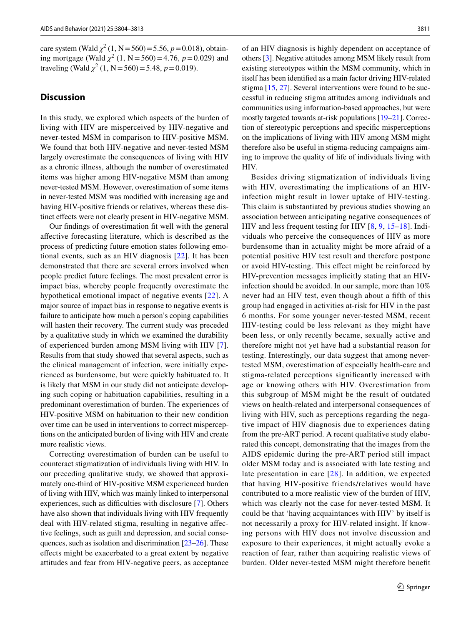care system (Wald  $\chi^2$  (1, N = 560) = 5.56, *p* = 0.018), obtaining mortgage (Wald  $\chi^2$  (1, N = 560) = 4.76, *p* = 0.029) and traveling (Wald  $\chi^2$  (1, N = 560) = 5.48, *p* = 0.019).

## **Discussion**

In this study, we explored which aspects of the burden of living with HIV are misperceived by HIV-negative and never-tested MSM in comparison to HIV-positive MSM. We found that both HIV-negative and never-tested MSM largely overestimate the consequences of living with HIV as a chronic illness, although the number of overestimated items was higher among HIV-negative MSM than among never-tested MSM. However, overestimation of some items in never-tested MSM was modifed with increasing age and having HIV-positive friends or relatives, whereas these distinct effects were not clearly present in HIV-negative MSM.

Our fndings of overestimation ft well with the general afective forecasting literature, which is described as the process of predicting future emotion states following emotional events, such as an HIV diagnosis [[22\]](#page-10-9). It has been demonstrated that there are several errors involved when people predict future feelings. The most prevalent error is impact bias, whereby people frequently overestimate the hypothetical emotional impact of negative events [\[22\]](#page-10-9). A major source of impact bias in response to negative events is failure to anticipate how much a person's coping capabilities will hasten their recovery. The current study was preceded by a qualitative study in which we examined the durability of experienced burden among MSM living with HIV [[7](#page-9-4)]. Results from that study showed that several aspects, such as the clinical management of infection, were initially experienced as burdensome, but were quickly habituated to. It is likely that MSM in our study did not anticipate developing such coping or habituation capabilities, resulting in a predominant overestimation of burden. The experiences of HIV-positive MSM on habituation to their new condition over time can be used in interventions to correct misperceptions on the anticipated burden of living with HIV and create more realistic views.

Correcting overestimation of burden can be useful to counteract stigmatization of individuals living with HIV. In our preceding qualitative study, we showed that approximately one-third of HIV-positive MSM experienced burden of living with HIV, which was mainly linked to interpersonal experiences, such as difficulties with disclosure [[7\]](#page-9-4). Others have also shown that individuals living with HIV frequently deal with HIV-related stigma, resulting in negative afective feelings, such as guilt and depression, and social consequences, such as isolation and discrimination [\[23–](#page-10-10)[26\]](#page-10-11). These efects might be exacerbated to a great extent by negative attitudes and fear from HIV-negative peers, as acceptance of an HIV diagnosis is highly dependent on acceptance of others [[3\]](#page-9-2). Negative attitudes among MSM likely result from existing stereotypes within the MSM community, which in itself has been identifed as a main factor driving HIV-related stigma [[15,](#page-10-5) [27](#page-10-12)]. Several interventions were found to be successful in reducing stigma attitudes among individuals and communities using information-based approaches, but were mostly targeted towards at-risk populations [[19–](#page-10-7)[21\]](#page-10-8). Correction of stereotypic perceptions and specifc misperceptions on the implications of living with HIV among MSM might therefore also be useful in stigma-reducing campaigns aiming to improve the quality of life of individuals living with HIV.

Besides driving stigmatization of individuals living with HIV, overestimating the implications of an HIVinfection might result in lower uptake of HIV-testing. This claim is substantiated by previous studies showing an association between anticipating negative consequences of HIV and less frequent testing for HIV [[8,](#page-9-5) [9](#page-9-6), [15–](#page-10-5)[18](#page-10-6)]. Individuals who perceive the consequences of HIV as more burdensome than in actuality might be more afraid of a potential positive HIV test result and therefore postpone or avoid HIV-testing. This efect might be reinforced by HIV-prevention messages implicitly stating that an HIVinfection should be avoided. In our sample, more than 10% never had an HIV test, even though about a ffth of this group had engaged in activities at-risk for HIV in the past 6 months. For some younger never-tested MSM, recent HIV-testing could be less relevant as they might have been less, or only recently became, sexually active and therefore might not yet have had a substantial reason for testing. Interestingly, our data suggest that among nevertested MSM, overestimation of especially health-care and stigma-related perceptions signifcantly increased with age or knowing others with HIV. Overestimation from this subgroup of MSM might be the result of outdated views on health-related and interpersonal consequences of living with HIV, such as perceptions regarding the negative impact of HIV diagnosis due to experiences dating from the pre-ART period. A recent qualitative study elaborated this concept, demonstrating that the images from the AIDS epidemic during the pre-ART period still impact older MSM today and is associated with late testing and late presentation in care [\[28](#page-10-13)]. In addition, we expected that having HIV-positive friends/relatives would have contributed to a more realistic view of the burden of HIV, which was clearly not the case for never-tested MSM. It could be that 'having acquaintances with HIV' by itself is not necessarily a proxy for HIV-related insight. If knowing persons with HIV does not involve discussion and exposure to their experiences, it might actually evoke a reaction of fear, rather than acquiring realistic views of burden. Older never-tested MSM might therefore beneft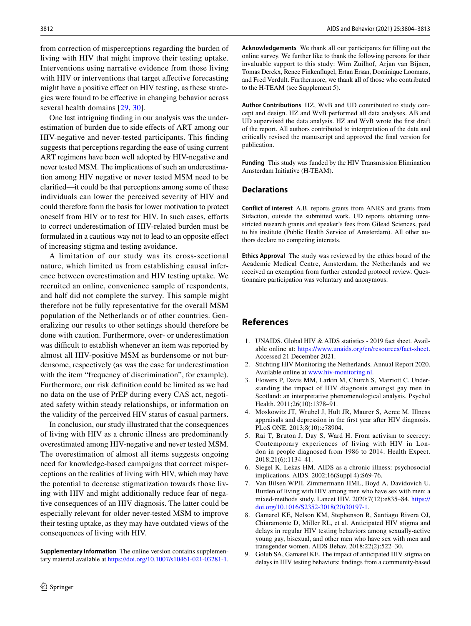from correction of misperceptions regarding the burden of living with HIV that might improve their testing uptake. Interventions using narrative evidence from those living with HIV or interventions that target affective forecasting might have a positive effect on HIV testing, as these strategies were found to be efective in changing behavior across several health domains [\[29,](#page-10-14) [30](#page-10-15)].

One last intriguing fnding in our analysis was the underestimation of burden due to side efects of ART among our HIV-negative and never-tested participants. This fnding suggests that perceptions regarding the ease of using current ART regimens have been well adopted by HIV-negative and never tested MSM. The implications of such an underestimation among HIV negative or never tested MSM need to be clarifed—it could be that perceptions among some of these individuals can lower the perceived severity of HIV and could therefore form the basis for lower motivation to protect oneself from HIV or to test for HIV. In such cases, efforts to correct underestimation of HIV-related burden must be formulated in a cautious way not to lead to an opposite efect of increasing stigma and testing avoidance.

A limitation of our study was its cross-sectional nature, which limited us from establishing causal inference between overestimation and HIV testing uptake. We recruited an online, convenience sample of respondents, and half did not complete the survey. This sample might therefore not be fully representative for the overall MSM population of the Netherlands or of other countries. Generalizing our results to other settings should therefore be done with caution. Furthermore, over- or underestimation was difficult to establish whenever an item was reported by almost all HIV-positive MSM as burdensome or not burdensome, respectively (as was the case for underestimation with the item "frequency of discrimination", for example). Furthermore, our risk defnition could be limited as we had no data on the use of PrEP during every CAS act, negotiated safety within steady relationships, or information on the validity of the perceived HIV status of casual partners.

In conclusion, our study illustrated that the consequences of living with HIV as a chronic illness are predominantly overestimated among HIV-negative and never tested MSM. The overestimation of almost all items suggests ongoing need for knowledge-based campaigns that correct misperceptions on the realities of living with HIV, which may have the potential to decrease stigmatization towards those living with HIV and might additionally reduce fear of negative consequences of an HIV diagnosis. The latter could be especially relevant for older never-tested MSM to improve their testing uptake, as they may have outdated views of the consequences of living with HIV.

**Supplementary Information** The online version contains supplementary material available at<https://doi.org/10.1007/s10461-021-03281-1>. **Acknowledgements** We thank all our participants for flling out the online survey. We further like to thank the following persons for their invaluable support to this study: Wim Zuilhof, Arjan van Bijnen, Tomas Derckx, Renee Finkenfügel, Ertan Ersan, Dominique Loomans, and Fred Verdult. Furthermore, we thank all of those who contributed to the H-TEAM (see Supplement 5).

**Author Contributions** HZ, WvB and UD contributed to study concept and design. HZ and WvB performed all data analyses. AB and UD supervised the data analysis. HZ and WvB wrote the frst draft of the report. All authors contributed to interpretation of the data and critically revised the manuscript and approved the fnal version for publication.

**Funding** This study was funded by the HIV Transmission Elimination Amsterdam Initiative (H-TEAM).

## **Declarations**

**Conflict of interest** A.B. reports grants from ANRS and grants from Sidaction, outside the submitted work. UD reports obtaining unrestricted research grants and speaker's fees from Gilead Sciences, paid to his institute (Public Health Service of Amsterdam). All other authors declare no competing interests.

**Ethics Approval** The study was reviewed by the ethics board of the Academic Medical Centre, Amsterdam, the Netherlands and we received an exemption from further extended protocol review. Questionnaire participation was voluntary and anonymous.

## **References**

- <span id="page-9-0"></span>1. UNAIDS. Global HIV & AIDS statistics - 2019 fact sheet. Available online at:<https://www.unaids.org/en/resources/fact-sheet>. Accessed 21 December 2021.
- <span id="page-9-1"></span>2. Stichting HIV Monitoring the Netherlands. Annual Report 2020. Available online at [www.hiv-monitoring.nl.](http://www.hiv-monitoring.nl)
- <span id="page-9-2"></span>3. Flowers P, Davis MM, Larkin M, Church S, Marriott C. Understanding the impact of HIV diagnosis amongst gay men in Scotland: an interpretative phenomenological analysis. Psychol Health. 2011;26(10):1378–91.
- 4. Moskowitz JT, Wrubel J, Hult JR, Maurer S, Acree M. Illness appraisals and depression in the frst year after HIV diagnosis. PLoS ONE. 2013;8(10):e78904.
- 5. Rai T, Bruton J, Day S, Ward H. From activism to secrecy: Contemporary experiences of living with HIV in London in people diagnosed from 1986 to 2014. Health Expect. 2018;21(6):1134–41.
- <span id="page-9-3"></span>6. Siegel K, Lekas HM. AIDS as a chronic illness: psychosocial implications. AIDS. 2002;16(Suppl 4):S69-76.
- <span id="page-9-4"></span>7. Van Bilsen WPH, Zimmermann HML, Boyd A, Davidovich U. Burden of living with HIV among men who have sex with men: a mixed-methods study. Lancet HIV. 2020;7(12):e835–84. [https://](https://doi.org/10.1016/S2352-3018(20)30197-1) [doi.org/10.1016/S2352-3018\(20\)30197-1](https://doi.org/10.1016/S2352-3018(20)30197-1).
- <span id="page-9-5"></span>Gamarel KE, Nelson KM, Stephenson R, Santiago Rivera OJ, Chiaramonte D, Miller RL, et al. Anticipated HIV stigma and delays in regular HIV testing behaviors among sexually-active young gay, bisexual, and other men who have sex with men and transgender women. AIDS Behav. 2018;22(2):522–30.
- <span id="page-9-6"></span>9. Golub SA, Gamarel KE. The impact of anticipated HIV stigma on delays in HIV testing behaviors: fndings from a community-based